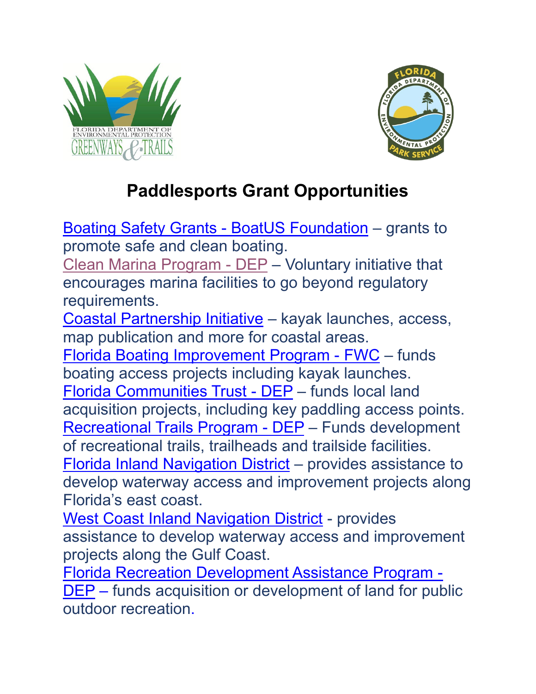



## **Paddlesports Grant Opportunities**

[Boating Safety Grants -](https://www.boatus.org/grants/) BoatUS Foundation – grants to promote safe and clean boating.

[Clean Marina Program -](http://www.dep.state.fl.us/cleanmarina/) DEP – Voluntary initiative that encourages marina facilities to go beyond regulatory requirements.

[Coastal Partnership Initiative](https://floridadep.gov/rcp/fcmp/content/coastal-partnership-initiative) – kayak launches, access, map publication and more for coastal areas.

[Florida Boating Improvement Program -](https://myfwc.com/boating/grants-programs/fbip/) FWC – funds boating access projects including kayak launches. [Florida Communities Trust -](https://floridadep.gov/lands/land-and-recreation-grants/content/faqs-florida-communities-trust-fct) DEP – funds local land acquisition projects, including key paddling access points. [Recreational Trails Program -](https://floridadep.gov/lands/land-and-recreation-grants/content/rtp-assistance) DEP – Funds development of recreational trails, trailheads and trailside facilities. [Florida Inland Navigation District](http://www.aicw.org/) – provides assistance to develop waterway access and improvement projects along Florida's east coast.

[West Coast Inland Navigation District](http://wcind.net/) - provides assistance to develop waterway access and improvement projects along the Gulf Coast.

[Florida Recreation Development Assistance Program -](https://floridadep.gov/lands/land-and-recreation-grants/content/frdap-assistance) [DEP](https://floridadep.gov/lands/land-and-recreation-grants/content/frdap-assistance) – funds acquisition or development of land for public outdoor recreation.